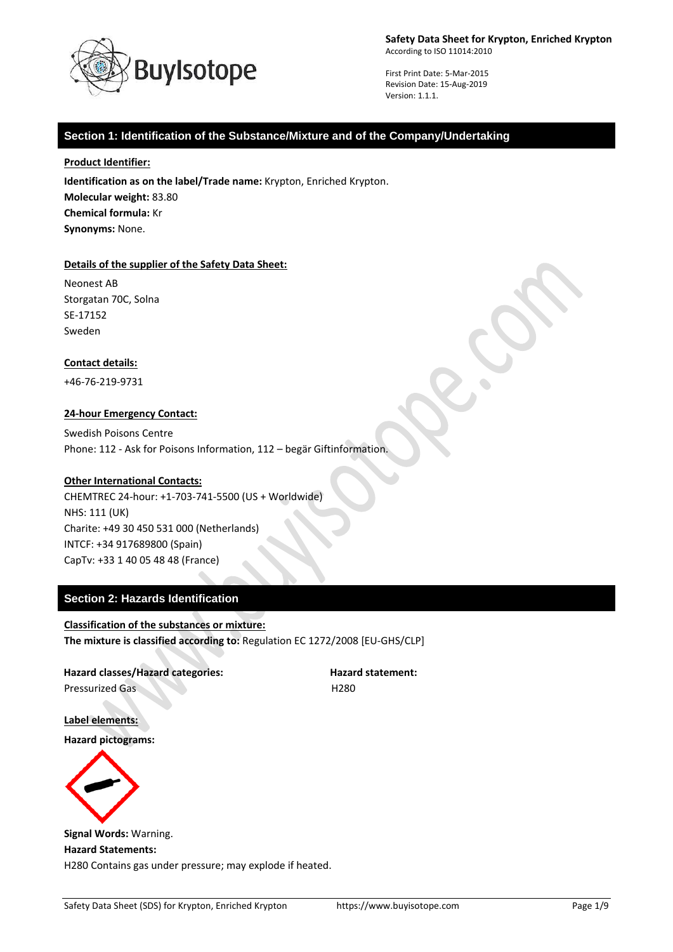

First Print Date: 5-Mar-2015 Revision Date: 15-Aug-2019 Version: 1.1.1.

## **Section 1: Identification of the Substance/Mixture and of the Company/Undertaking**

**Product Identifier:**

**Identification as on the label/Trade name:** Krypton, Enriched Krypton. **Molecular weight:** 83.80 **Chemical formula:** Kr **Synonyms:** None.

### **Details of the supplier of the Safety Data Sheet:**

Neonest AB Storgatan 70C, Solna SE-17152 Sweden

#### **Contact details:**

+46-76-219-9731

#### **24-hour Emergency Contact:**

Swedish Poisons Centre Phone: 112 - Ask for Poisons Information, 112 – begär Giftinformation.

#### **Other International Contacts:**

CHEMTREC 24-hour: +1-703-741-5500 (US + Worldwide) NHS: 111 (UK) Charite: +49 30 450 531 000 (Netherlands) INTCF: +34 917689800 (Spain) CapTv: +33 1 40 05 48 48 (France)

### **Section 2: Hazards Identification**

**Classification of the substances or mixture: The mixture is classified according to:** Regulation EC 1272/2008 [EU-GHS/CLP]

Hazard classes/Hazard categories: **Hazard statement:** Pressurized Gas **H280** 

**Label elements:**

**Hazard pictograms:**



**Signal Words:** Warning. **Hazard Statements:** H280 Contains gas under pressure; may explode if heated.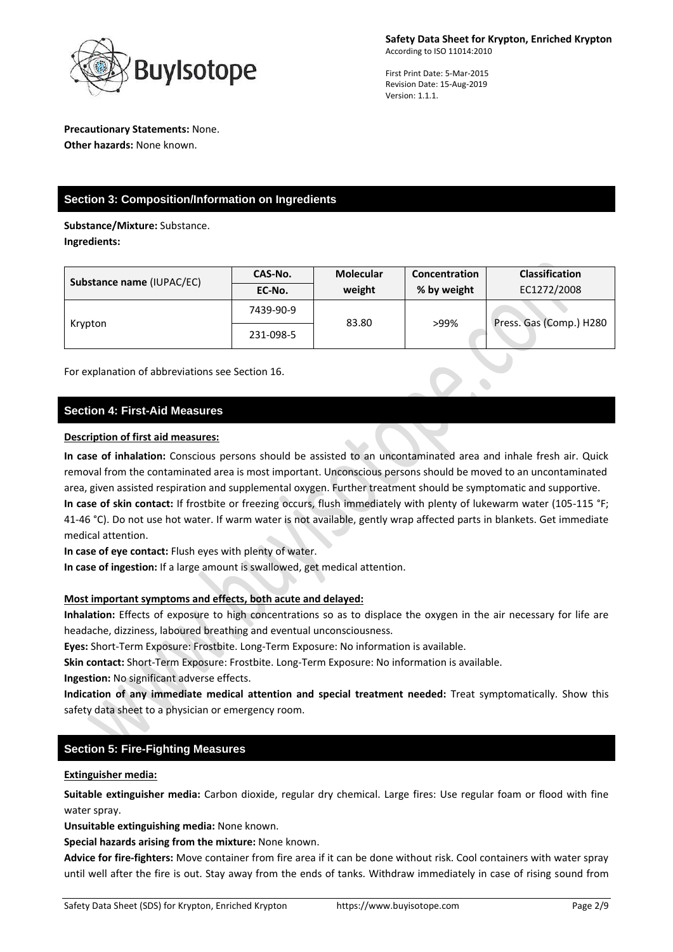

### **Precautionary Statements:** None. **Other hazards:** None known.

**Section 3: Composition/Information on Ingredients** 

**Substance/Mixture:** Substance. **Ingredients:**

| Substance name (IUPAC/EC) | CAS-No.   | <b>Molecular</b> | Concentration | <b>Classification</b>   |
|---------------------------|-----------|------------------|---------------|-------------------------|
|                           | EC-No.    | weight           | % by weight   | EC1272/2008             |
| Krypton                   | 7439-90-9 | 83.80            | >99%          | Press. Gas (Comp.) H280 |
|                           | 231-098-5 |                  |               |                         |

For explanation of abbreviations see Section 16.

# **Section 4: First-Aid Measures**

### **Description of first aid measures:**

**In case of inhalation:** Conscious persons should be assisted to an uncontaminated area and inhale fresh air. Quick removal from the contaminated area is most important. Unconscious persons should be moved to an uncontaminated area, given assisted respiration and supplemental oxygen. Further treatment should be symptomatic and supportive. **In case of skin contact:** If frostbite or freezing occurs, flush immediately with plenty of lukewarm water (105-115 °F; 41-46 °C). Do not use hot water. If warm water is not available, gently wrap affected parts in blankets. Get immediate medical attention.

**In case of eye contact:** Flush eyes with plenty of water.

**In case of ingestion:** If a large amount is swallowed, get medical attention.

# **Most important symptoms and effects, both acute and delayed:**

**Inhalation:** Effects of exposure to high concentrations so as to displace the oxygen in the air necessary for life are headache, dizziness, laboured breathing and eventual unconsciousness.

**Eyes:** Short-Term Exposure: Frostbite. Long-Term Exposure: No information is available.

**Skin contact:** Short-Term Exposure: Frostbite. Long-Term Exposure: No information is available.

**Ingestion:** No significant adverse effects.

**Indication of any immediate medical attention and special treatment needed:** Treat symptomatically. Show this safety data sheet to a physician or emergency room.

# **Section 5: Fire-Fighting Measures**

### **Extinguisher media:**

**Suitable extinguisher media:** Carbon dioxide, regular dry chemical. Large fires: Use regular foam or flood with fine water spray.

**Unsuitable extinguishing media:** None known.

**Special hazards arising from the mixture:** None known.

**Advice for fire-fighters:** Move container from fire area if it can be done without risk. Cool containers with water spray until well after the fire is out. Stay away from the ends of tanks. Withdraw immediately in case of rising sound from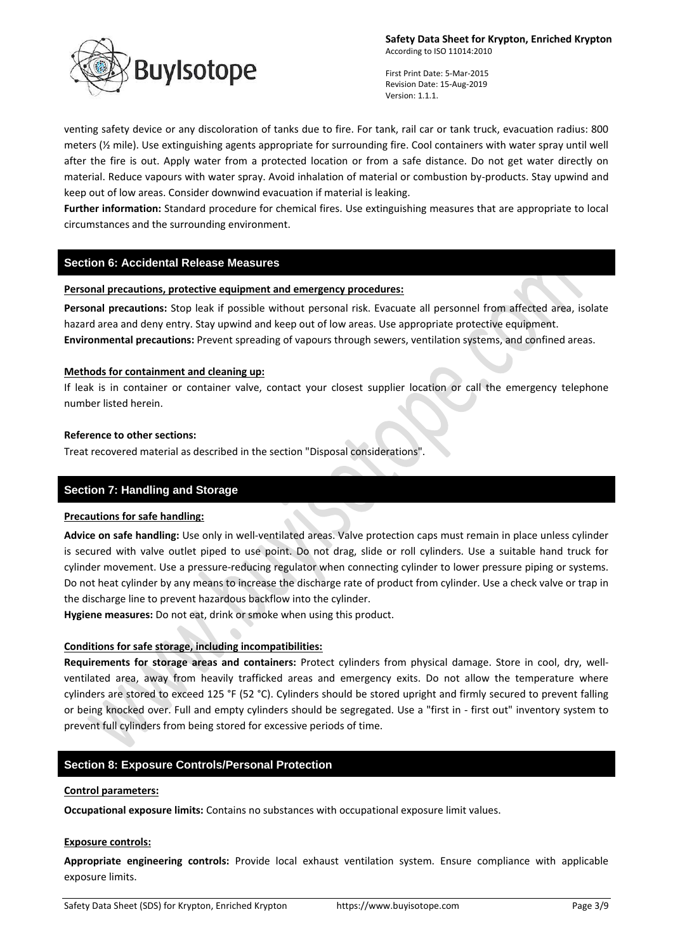

First Print Date: 5-Mar-2015 Revision Date: 15-Aug-2019 Version: 1.1.1.

venting safety device or any discoloration of tanks due to fire. For tank, rail car or tank truck, evacuation radius: 800 meters (½ mile). Use extinguishing agents appropriate for surrounding fire. Cool containers with water spray until well after the fire is out. Apply water from a protected location or from a safe distance. Do not get water directly on material. Reduce vapours with water spray. Avoid inhalation of material or combustion by-products. Stay upwind and keep out of low areas. Consider downwind evacuation if material is leaking.

**Further information:** Standard procedure for chemical fires. Use extinguishing measures that are appropriate to local circumstances and the surrounding environment.

### **Section 6: Accidental Release Measures**

### **Personal precautions, protective equipment and emergency procedures:**

Personal precautions: Stop leak if possible without personal risk. Evacuate all personnel from affected area, isolate hazard area and deny entry. Stay upwind and keep out of low areas. Use appropriate protective equipment. **Environmental precautions:** Prevent spreading of vapours through sewers, ventilation systems, and confined areas.

### **Methods for containment and cleaning up:**

If leak is in container or container valve, contact your closest supplier location or call the emergency telephone number listed herein.

#### **Reference to other sections:**

Treat recovered material as described in the section "Disposal considerations".

### **Section 7: Handling and Storage**

#### **Precautions for safe handling:**

**Advice on safe handling:** Use only in well-ventilated areas. Valve protection caps must remain in place unless cylinder is secured with valve outlet piped to use point. Do not drag, slide or roll cylinders. Use a suitable hand truck for cylinder movement. Use a pressure-reducing regulator when connecting cylinder to lower pressure piping or systems. Do not heat cylinder by any means to increase the discharge rate of product from cylinder. Use a check valve or trap in the discharge line to prevent hazardous backflow into the cylinder.

**Hygiene measures:** Do not eat, drink or smoke when using this product.

### **Conditions for safe storage, including incompatibilities:**

**Requirements for storage areas and containers:** Protect cylinders from physical damage. Store in cool, dry, wellventilated area, away from heavily trafficked areas and emergency exits. Do not allow the temperature where cylinders are stored to exceed 125 °F (52 °C). Cylinders should be stored upright and firmly secured to prevent falling or being knocked over. Full and empty cylinders should be segregated. Use a "first in - first out" inventory system to prevent full cylinders from being stored for excessive periods of time.

# **Section 8: Exposure Controls/Personal Protection**

#### **Control parameters:**

**Occupational exposure limits:** Contains no substances with occupational exposure limit values.

### **Exposure controls:**

**Appropriate engineering controls:** Provide local exhaust ventilation system. Ensure compliance with applicable exposure limits.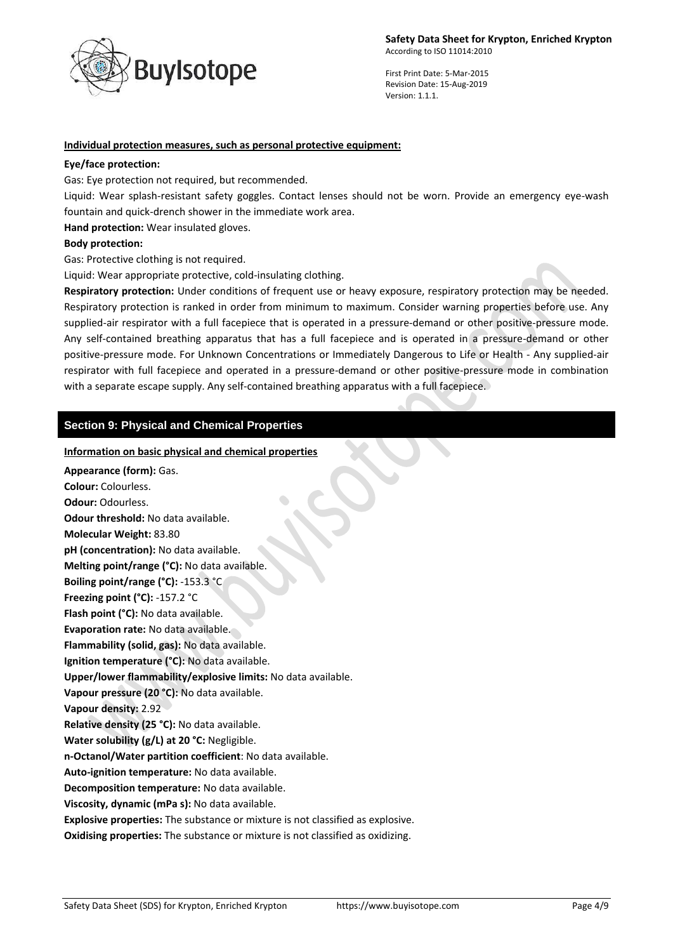

### **Individual protection measures, such as personal protective equipment:**

#### **Eye/face protection:**

Gas: Eye protection not required, but recommended.

Liquid: Wear splash-resistant safety goggles. Contact lenses should not be worn. Provide an emergency eye-wash fountain and quick-drench shower in the immediate work area.

**Hand protection:** Wear insulated gloves.

#### **Body protection:**

Gas: Protective clothing is not required.

Liquid: Wear appropriate protective, cold-insulating clothing.

**Respiratory protection:** Under conditions of frequent use or heavy exposure, respiratory protection may be needed. Respiratory protection is ranked in order from minimum to maximum. Consider warning properties before use. Any supplied-air respirator with a full facepiece that is operated in a pressure-demand or other positive-pressure mode. Any self-contained breathing apparatus that has a full facepiece and is operated in a pressure-demand or other positive-pressure mode. For Unknown Concentrations or Immediately Dangerous to Life or Health - Any supplied-air respirator with full facepiece and operated in a pressure-demand or other positive-pressure mode in combination with a separate escape supply. Any self-contained breathing apparatus with a full facepiece.

# **Section 9: Physical and Chemical Properties**

#### **Information on basic physical and chemical properties**

**Appearance (form):** Gas. **Colour:** Colourless. **Odour:** Odourless. **Odour threshold:** No data available. **Molecular Weight:** 83.80 **pH (concentration):** No data available. **Melting point/range (°C):** No data available. **Boiling point/range (°C):** -153.3 °C **Freezing point (°C):** -157.2 °C **Flash point (°C):** No data available. **Evaporation rate:** No data available. **Flammability (solid, gas):** No data available. **Ignition temperature (°C):** No data available. **Upper/lower flammability/explosive limits:** No data available. **Vapour pressure (20 °C):** No data available. **Vapour density:** 2.92 **Relative density (25 °C):** No data available. **Water solubility (g/L) at 20 °C:** Negligible. **n-Octanol/Water partition coefficient**: No data available. **Auto-ignition temperature:** No data available. **Decomposition temperature:** No data available. **Viscosity, dynamic (mPa s):** No data available. **Explosive properties:** The substance or mixture is not classified as explosive. **Oxidising properties:** The substance or mixture is not classified as oxidizing.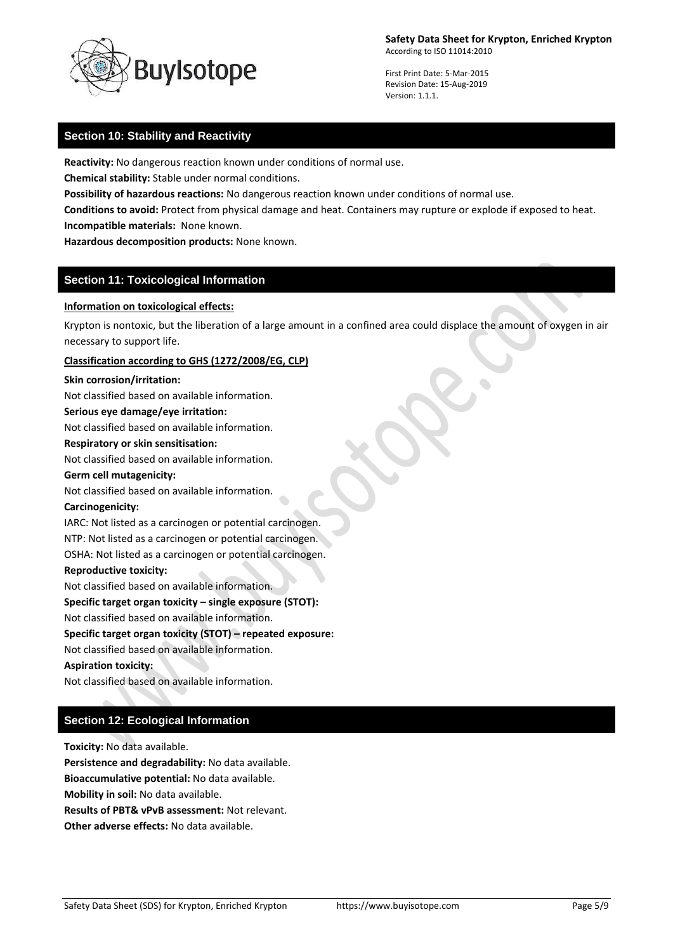

First Print Date: 5-Mar-2015 Revision Date: 15-Aug-2019 Version: 1.1.1.

# **Section 10: Stability and Reactivity**

**Reactivity:** No dangerous reaction known under conditions of normal use.

**Chemical stability:** Stable under normal conditions.

**Possibility of hazardous reactions:** No dangerous reaction known under conditions of normal use.

**Conditions to avoid:** Protect from physical damage and heat. Containers may rupture or explode if exposed to heat. **Incompatible materials:** None known.

**Hazardous decomposition products:** None known.

# **Section 11: Toxicological Information**

#### **Information on toxicological effects:**

Krypton is nontoxic, but the liberation of a large amount in a confined area could displace the amount of oxygen in air necessary to support life.

#### **Classification according to GHS (1272/2008/EG, CLP)**

#### **Skin corrosion/irritation:**

Not classified based on available information.

#### **Serious eye damage/eye irritation:**

Not classified based on available information.

#### **Respiratory or skin sensitisation:**

Not classified based on available information.

### **Germ cell mutagenicity:**

Not classified based on available information.

#### **Carcinogenicity:**

IARC: Not listed as a carcinogen or potential carcinogen. NTP: Not listed as a carcinogen or potential carcinogen.

OSHA: Not listed as a carcinogen or potential carcinogen.

### **Reproductive toxicity:**

Not classified based on available information.

**Specific target organ toxicity – single exposure (STOT):**

Not classified based on available information.

#### **Specific target organ toxicity (STOT) – repeated exposure:**

Not classified based on available information.

#### **Aspiration toxicity:**

Not classified based on available information.

# **Section 12: Ecological Information**

**Toxicity:** No data available.

**Persistence and degradability:** No data available.

**Bioaccumulative potential:** No data available.

**Mobility in soil:** No data available.

**Results of PBT& vPvB assessment:** Not relevant.

**Other adverse effects:** No data available.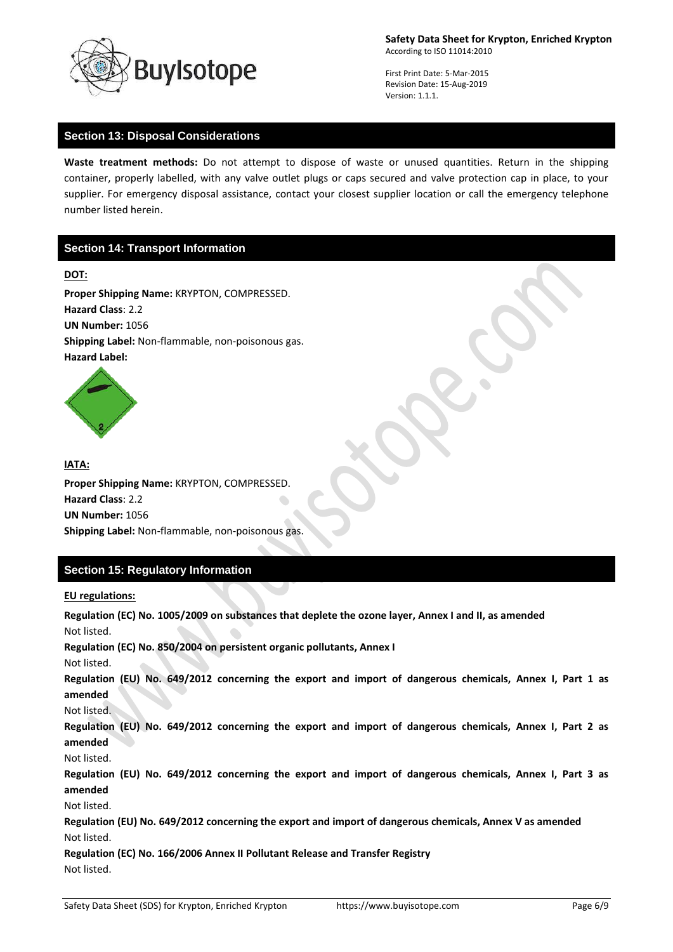

First Print Date: 5-Mar-2015 Revision Date: 15-Aug-2019 Version: 1.1.1.

## **Section 13: Disposal Considerations**

**Waste treatment methods:** Do not attempt to dispose of waste or unused quantities. Return in the shipping container, properly labelled, with any valve outlet plugs or caps secured and valve protection cap in place, to your supplier. For emergency disposal assistance, contact your closest supplier location or call the emergency telephone number listed herein.

# **Section 14: Transport Information**

### **DOT:**

**Proper Shipping Name:** KRYPTON, COMPRESSED. **Hazard Class**: 2.2 **UN Number:** 1056 **Shipping Label:** Non-flammable, non-poisonous gas. **Hazard Label:** 



**IATA: Proper Shipping Name:** KRYPTON, COMPRESSED. **Hazard Class**: 2.2 **UN Number:** 1056 **Shipping Label:** Non-flammable, non-poisonous gas.

# **Section 15: Regulatory Information**

**EU regulations:**

**Regulation (EC) No. 1005/2009 on substances that deplete the ozone layer, Annex I and II, as amended** Not listed. **Regulation (EC) No. 850/2004 on persistent organic pollutants, Annex I** Not listed. **Regulation (EU) No. 649/2012 concerning the export and import of dangerous chemicals, Annex I, Part 1 as amended** Not listed. **Regulation (EU) No. 649/2012 concerning the export and import of dangerous chemicals, Annex I, Part 2 as amended** Not listed. **Regulation (EU) No. 649/2012 concerning the export and import of dangerous chemicals, Annex I, Part 3 as amended** Not listed. **Regulation (EU) No. 649/2012 concerning the export and import of dangerous chemicals, Annex V as amended** Not listed. **Regulation (EC) No. 166/2006 Annex II Pollutant Release and Transfer Registry** Not listed.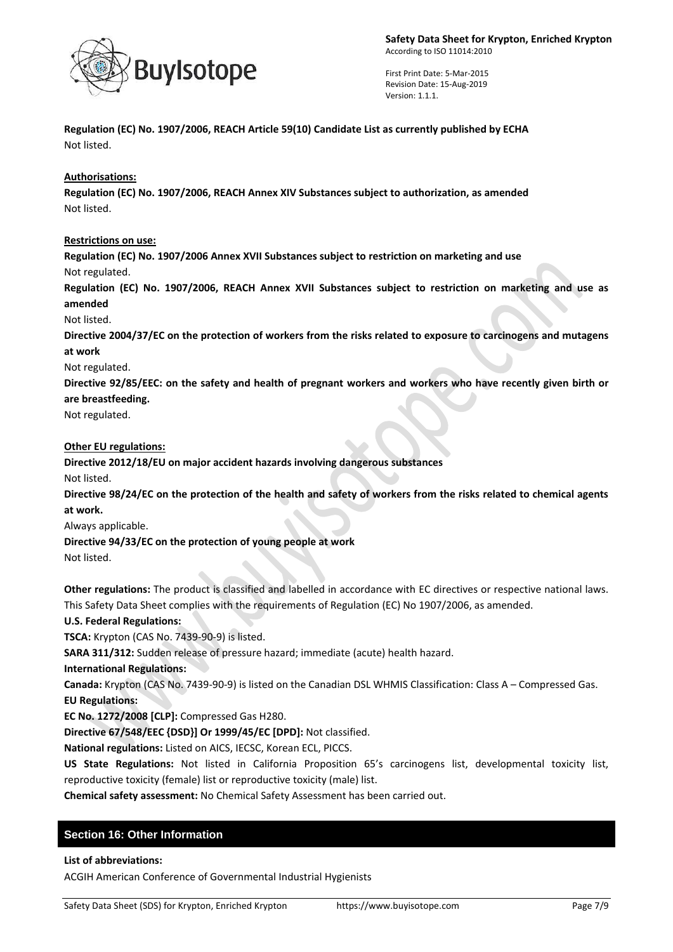

**Regulation (EC) No. 1907/2006, REACH Article 59(10) Candidate List as currently published by ECHA** Not listed.

# **Authorisations:**

**Regulation (EC) No. 1907/2006, REACH Annex XIV Substances subject to authorization, as amended** Not listed.

### **Restrictions on use:**

**Regulation (EC) No. 1907/2006 Annex XVII Substances subject to restriction on marketing and use** Not regulated.

**Regulation (EC) No. 1907/2006, REACH Annex XVII Substances subject to restriction on marketing and use as amended**

Not listed.

**Directive 2004/37/EC on the protection of workers from the risks related to exposure to carcinogens and mutagens at work**

Not regulated.

**Directive 92/85/EEC: on the safety and health of pregnant workers and workers who have recently given birth or** 

# **are breastfeeding.**

Not regulated.

### **Other EU regulations:**

**Directive 2012/18/EU on major accident hazards involving dangerous substances**

Not listed.

**Directive 98/24/EC on the protection of the health and safety of workers from the risks related to chemical agents at work.**

Always applicable.

**Directive 94/33/EC on the protection of young people at work**

Not listed.

**Other regulations:** The product is classified and labelled in accordance with EC directives or respective national laws. This Safety Data Sheet complies with the requirements of Regulation (EC) No 1907/2006, as amended.

# **U.S. Federal Regulations:**

**TSCA:** Krypton (CAS No. 7439-90-9) is listed.

**SARA 311/312:** Sudden release of pressure hazard; immediate (acute) health hazard.

# **International Regulations:**

**Canada:** Krypton (CAS No. 7439-90-9) is listed on the Canadian DSL WHMIS Classification: Class A – Compressed Gas. **EU Regulations:**

**EC No. 1272/2008 [CLP]:** Compressed Gas H280.

**Directive 67/548/EEC {DSD}] Or 1999/45/EC [DPD]:** Not classified.

**National regulations:** Listed on AICS, IECSC, Korean ECL, PICCS.

**US State Regulations:** Not listed in California Proposition 65's carcinogens list, developmental toxicity list, reproductive toxicity (female) list or reproductive toxicity (male) list.

**Chemical safety assessment:** No Chemical Safety Assessment has been carried out.

# **Section 16: Other Information**

**List of abbreviations:**

ACGIH American Conference of Governmental Industrial Hygienists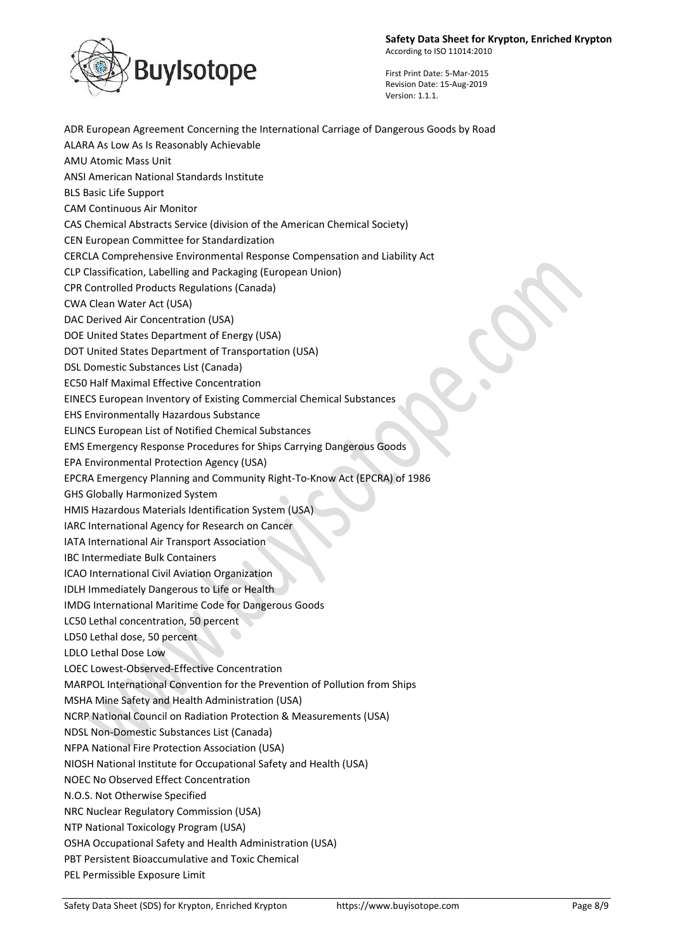

ADR European Agreement Concerning the International Carriage of Dangerous Goods by Road ALARA As Low As Is Reasonably Achievable AMU Atomic Mass Unit ANSI American National Standards Institute BLS Basic Life Support CAM Continuous Air Monitor CAS Chemical Abstracts Service (division of the American Chemical Society) CEN European Committee for Standardization CERCLA Comprehensive Environmental Response Compensation and Liability Act CLP Classification, Labelling and Packaging (European Union) CPR Controlled Products Regulations (Canada) CWA Clean Water Act (USA) DAC Derived Air Concentration (USA) DOE United States Department of Energy (USA) DOT United States Department of Transportation (USA) DSL Domestic Substances List (Canada) EC50 Half Maximal Effective Concentration EINECS European Inventory of Existing Commercial Chemical Substances EHS Environmentally Hazardous Substance ELINCS European List of Notified Chemical Substances EMS Emergency Response Procedures for Ships Carrying Dangerous Goods EPA Environmental Protection Agency (USA) EPCRA Emergency Planning and Community Right-To-Know Act (EPCRA) of 1986 GHS Globally Harmonized System HMIS Hazardous Materials Identification System (USA) IARC International Agency for Research on Cancer IATA International Air Transport Association IBC Intermediate Bulk Containers ICAO International Civil Aviation Organization IDLH Immediately Dangerous to Life or Health IMDG International Maritime Code for Dangerous Goods LC50 Lethal concentration, 50 percent LD50 Lethal dose, 50 percent LDLO Lethal Dose Low LOEC Lowest-Observed-Effective Concentration MARPOL International Convention for the Prevention of Pollution from Ships MSHA Mine Safety and Health Administration (USA) NCRP National Council on Radiation Protection & Measurements (USA) NDSL Non-Domestic Substances List (Canada) NFPA National Fire Protection Association (USA) NIOSH National Institute for Occupational Safety and Health (USA) NOEC No Observed Effect Concentration N.O.S. Not Otherwise Specified NRC Nuclear Regulatory Commission (USA) NTP National Toxicology Program (USA) OSHA Occupational Safety and Health Administration (USA) PBT Persistent Bioaccumulative and Toxic Chemical PEL Permissible Exposure Limit